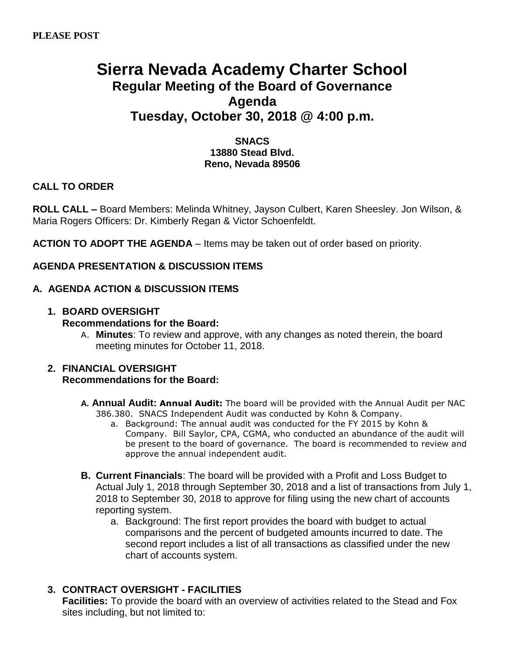# **Sierra Nevada Academy Charter School Regular Meeting of the Board of Governance Agenda Tuesday, October 30, 2018 @ 4:00 p.m.**

# **SNACS 13880 Stead Blvd. Reno, Nevada 89506**

# **CALL TO ORDER**

**ROLL CALL –** Board Members: Melinda Whitney, Jayson Culbert, Karen Sheesley. Jon Wilson, & Maria Rogers Officers: Dr. Kimberly Regan & Victor Schoenfeldt.

**ACTION TO ADOPT THE AGENDA** – Items may be taken out of order based on priority.

# **AGENDA PRESENTATION & DISCUSSION ITEMS**

# **A. AGENDA ACTION & DISCUSSION ITEMS**

# **1. BOARD OVERSIGHT**

### **Recommendations for the Board:**

A. **Minutes**: To review and approve, with any changes as noted therein, the board meeting minutes for October 11, 2018.

#### **2. FINANCIAL OVERSIGHT Recommendations for the Board:**

- **A. Annual Audit: Annual Audit:** The board will be provided with the Annual Audit per NAC 386.380. SNACS Independent Audit was conducted by Kohn & Company.
	- a. Background: The annual audit was conducted for the FY 2015 by Kohn & Company. Bill Saylor, CPA, CGMA, who conducted an abundance of the audit will be present to the board of governance. The board is recommended to review and approve the annual independent audit.
- **B. Current Financials**: The board will be provided with a Profit and Loss Budget to Actual July 1, 2018 through September 30, 2018 and a list of transactions from July 1, 2018 to September 30, 2018 to approve for filing using the new chart of accounts reporting system.
	- a. Background: The first report provides the board with budget to actual comparisons and the percent of budgeted amounts incurred to date. The second report includes a list of all transactions as classified under the new chart of accounts system.

# **3. CONTRACT OVERSIGHT - FACILITIES**

**Facilities:** To provide the board with an overview of activities related to the Stead and Fox sites including, but not limited to: